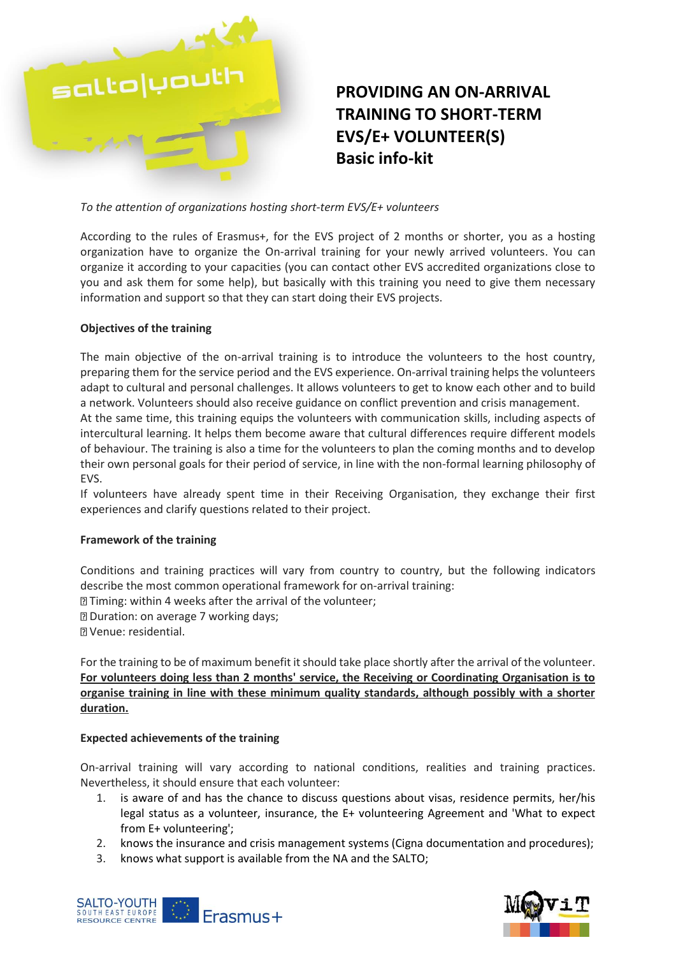

## **PROVIDING AN ON-ARRIVAL TRAINING TO SHORT-TERM EVS/E+ VOLUNTEER(S) Basic info-kit**

*To the attention of organizations hosting short-term EVS/E+ volunteers*

According to the rules of Erasmus+, for the EVS project of 2 months or shorter, you as a hosting organization have to organize the On-arrival training for your newly arrived volunteers. You can organize it according to your capacities (you can contact other EVS accredited organizations close to you and ask them for some help), but basically with this training you need to give them necessary information and support so that they can start doing their EVS projects.

## **Objectives of the training**

The main objective of the on-arrival training is to introduce the volunteers to the host country, preparing them for the service period and the EVS experience. On-arrival training helps the volunteers adapt to cultural and personal challenges. It allows volunteers to get to know each other and to build a network. Volunteers should also receive guidance on conflict prevention and crisis management. At the same time, this training equips the volunteers with communication skills, including aspects of intercultural learning. It helps them become aware that cultural differences require different models of behaviour. The training is also a time for the volunteers to plan the coming months and to develop their own personal goals for their period of service, in line with the non-formal learning philosophy of EVS.

If volunteers have already spent time in their Receiving Organisation, they exchange their first experiences and clarify questions related to their project.

## **Framework of the training**

Conditions and training practices will vary from country to country, but the following indicators describe the most common operational framework for on-arrival training:

Timing: within 4 weeks after the arrival of the volunteer;

Duration: on average 7 working days;

Venue: residential.

For the training to be of maximum benefit it should take place shortly after the arrival of the volunteer. **For volunteers doing less than 2 months' service, the Receiving or Coordinating Organisation is to organise training in line with these minimum quality standards, although possibly with a shorter duration.**

## **Expected achievements of the training**

On-arrival training will vary according to national conditions, realities and training practices. Nevertheless, it should ensure that each volunteer:

- 1. is aware of and has the chance to discuss questions about visas, residence permits, her/his legal status as a volunteer, insurance, the E+ volunteering Agreement and 'What to expect from E+ volunteering';
- 2. knows the insurance and crisis management systems (Cigna documentation and procedures);
- 3. knows what support is available from the NA and the SALTO;